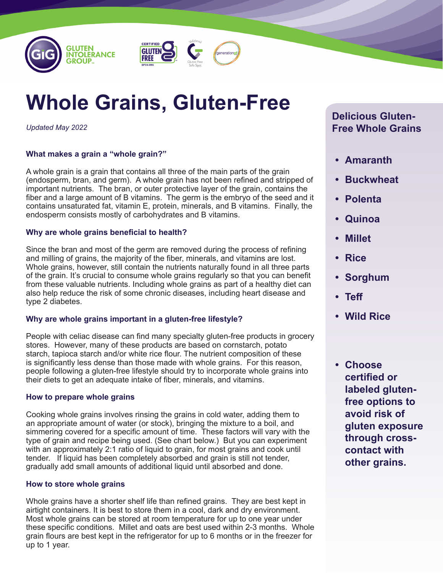



# **Whole Grains, Gluten-Free**

*Updated May 2022*

# **What makes a grain a "whole grain?"**

A whole grain is a grain that contains all three of the main parts of the grain (endosperm, bran, and germ). A whole grain has not been refined and stripped of important nutrients. The bran, or outer protective layer of the grain, contains the fiber and a large amount of B vitamins. The germ is the embryo of the seed and it contains unsaturated fat, vitamin E, protein, minerals, and B vitamins. Finally, the endosperm consists mostly of carbohydrates and B vitamins.

## **Why are whole grains beneficial to health?**

Since the bran and most of the germ are removed during the process of refining and milling of grains, the majority of the fiber, minerals, and vitamins are lost. Whole grains, however, still contain the nutrients naturally found in all three parts of the grain. It's crucial to consume whole grains regularly so that you can benefit from these valuable nutrients. Including whole grains as part of a healthy diet can also help reduce the risk of some chronic diseases, including heart disease and type 2 diabetes.

# **Why are whole grains important in a gluten-free lifestyle?**

People with celiac disease can find many specialty gluten-free products in grocery stores. However, many of these products are based on cornstarch, potato starch, tapioca starch and/or white rice flour. The nutrient composition of these is significantly less dense than those made with whole grains. For this reason, people following a gluten-free lifestyle should try to incorporate whole grains into their diets to get an adequate intake of fiber, minerals, and vitamins.

# **How to prepare whole grains**

Cooking whole grains involves rinsing the grains in cold water, adding them to an appropriate amount of water (or stock), bringing the mixture to a boil, and simmering covered for a specific amount of time. These factors will vary with the type of grain and recipe being used. (See chart below.) But you can experiment with an approximately 2:1 ratio of liquid to grain, for most grains and cook until tender. If liquid has been completely absorbed and grain is still not tender, gradually add small amounts of additional liquid until absorbed and done.

# **How to store whole grains**

Whole grains have a shorter shelf life than refined grains. They are best kept in airtight containers. It is best to store them in a cool, dark and dry environment. Most whole grains can be stored at room temperature for up to one year under these specific conditions. Millet and oats are best used within 2-3 months. Whole grain flours are best kept in the refrigerator for up to 6 months or in the freezer for up to 1 year.

# **Delicious Gluten-Free Whole Grains**

- **• Amaranth**
- **• Buckwheat**
- **• Polenta**
- **• Quinoa**
- **• Millet**
- **• Rice**
- **• Sorghum**
- **• Teff**
- **• Wild Rice**
- **• Choose certified or labeled glutenfree options to avoid risk of gluten exposure through crosscontact with other grains.**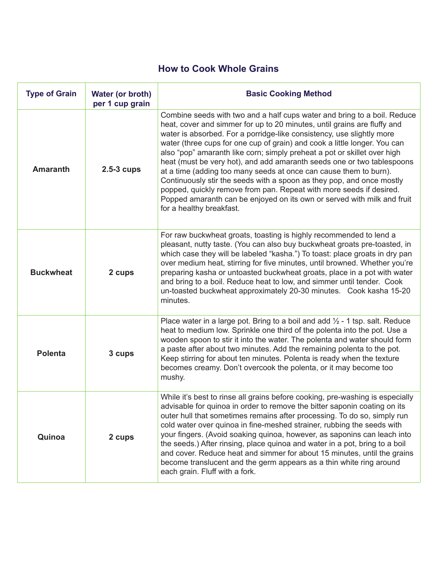# **How to Cook Whole Grains**

| <b>Type of Grain</b> | Water (or broth)<br>per 1 cup grain | <b>Basic Cooking Method</b>                                                                                                                                                                                                                                                                                                                                                                                                                                                                                                                                                                                                                                                                                                                                                                  |  |
|----------------------|-------------------------------------|----------------------------------------------------------------------------------------------------------------------------------------------------------------------------------------------------------------------------------------------------------------------------------------------------------------------------------------------------------------------------------------------------------------------------------------------------------------------------------------------------------------------------------------------------------------------------------------------------------------------------------------------------------------------------------------------------------------------------------------------------------------------------------------------|--|
| <b>Amaranth</b>      | $2.5-3$ cups                        | Combine seeds with two and a half cups water and bring to a boil. Reduce<br>heat, cover and simmer for up to 20 minutes, until grains are fluffy and<br>water is absorbed. For a porridge-like consistency, use slightly more<br>water (three cups for one cup of grain) and cook a little longer. You can<br>also "pop" amaranth like corn; simply preheat a pot or skillet over high<br>heat (must be very hot), and add amaranth seeds one or two tablespoons<br>at a time (adding too many seeds at once can cause them to burn).<br>Continuously stir the seeds with a spoon as they pop, and once mostly<br>popped, quickly remove from pan. Repeat with more seeds if desired.<br>Popped amaranth can be enjoyed on its own or served with milk and fruit<br>for a healthy breakfast. |  |
| <b>Buckwheat</b>     | 2 cups                              | For raw buckwheat groats, toasting is highly recommended to lend a<br>pleasant, nutty taste. (You can also buy buckwheat groats pre-toasted, in<br>which case they will be labeled "kasha.") To toast: place groats in dry pan<br>over medium heat, stirring for five minutes, until browned. Whether you're<br>preparing kasha or untoasted buckwheat groats, place in a pot with water<br>and bring to a boil. Reduce heat to low, and simmer until tender. Cook<br>un-toasted buckwheat approximately 20-30 minutes. Cook kasha 15-20<br>minutes.                                                                                                                                                                                                                                         |  |
| <b>Polenta</b>       | 3 cups                              | Place water in a large pot. Bring to a boil and add $\frac{1}{2}$ - 1 tsp. salt. Reduce<br>heat to medium low. Sprinkle one third of the polenta into the pot. Use a<br>wooden spoon to stir it into the water. The polenta and water should form<br>a paste after about two minutes. Add the remaining polenta to the pot.<br>Keep stirring for about ten minutes. Polenta is ready when the texture<br>becomes creamy. Don't overcook the polenta, or it may become too<br>mushy.                                                                                                                                                                                                                                                                                                          |  |
| Quinoa               | 2 cups                              | While it's best to rinse all grains before cooking, pre-washing is especially<br>advisable for quinoa in order to remove the bitter saponin coating on its<br>outer hull that sometimes remains after processing. To do so, simply run<br>cold water over quinoa in fine-meshed strainer, rubbing the seeds with<br>your fingers. (Avoid soaking quinoa, however, as saponins can leach into<br>the seeds.) After rinsing, place quinoa and water in a pot, bring to a boil<br>and cover. Reduce heat and simmer for about 15 minutes, until the grains<br>become translucent and the germ appears as a thin white ring around<br>each grain. Fluff with a fork.                                                                                                                             |  |